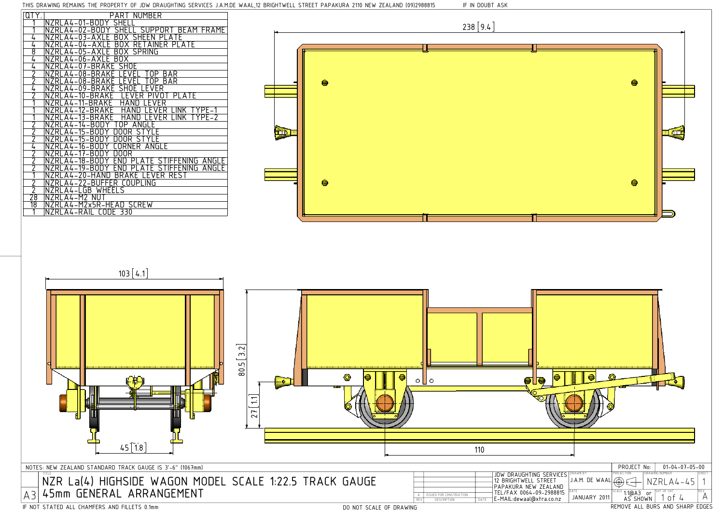DO NOT SCALE OF DRAWING



| <u>QTY.</u> | PART NUMBER                                 |               |           |           |  |
|-------------|---------------------------------------------|---------------|-----------|-----------|--|
|             | NZRLA4-01-BODY SHELL                        |               |           | $238$ 9.4 |  |
|             | NZRLA4-02-BODY SHELL SUPPORT BEAM FRAME     |               |           |           |  |
|             | NZRLA4-03-AXLE BOX SHEEN PLATE              |               |           |           |  |
|             | NZRLA4-04-AXLE BOX RETAINER PLATE           |               |           |           |  |
| 8           | NZRLA4-05-AXLE BOX SPRING                   |               |           |           |  |
|             | NZRLA4-06-AXLE BOX                          |               |           |           |  |
|             | NZRLA4-07-BRAKE SHOE                        |               |           |           |  |
|             | NZRLA4-08-BRAKE LEVEL TOP BAR               |               |           |           |  |
|             | NZRLA4-08-BRAKE LEVEL TOP BAR               |               | $\bullet$ |           |  |
|             | NZRLA4-09-BRAKE SHOE LEVER                  |               |           |           |  |
|             | NZRLA4-10-BRAKE<br><b>TEVER PIVOT PLATE</b> |               |           |           |  |
|             | NZRLA4-11-BRAKE<br>HAND LEVER               |               |           |           |  |
|             | HAND LEVER LINK TYPE-1<br>NZRLA4-12-BRAKE   |               |           |           |  |
|             | HAND LEVER LINK TYPE-2<br>NZRLA4-13-BRAKE   |               |           |           |  |
|             | $NZRLAA - 14-BODY$<br>TOP ANGLE             |               |           |           |  |
|             | $NZRLA4-15-BODY$<br>DOOR STYLE              | $\frac{1}{2}$ |           |           |  |
|             | NZRLA4-15-BODY<br>DOOR STYLE                |               |           |           |  |
|             | NZRLA4-16-BODY CORNER ANGLE                 |               |           |           |  |
|             | INZRLA4-17-BODY DOOR                        |               |           |           |  |
|             | NZRLA4-18-BODY END PLATE STIFFENING ANGLE   |               |           |           |  |
|             | NZRLA4-19-BODY END PLATE STIFFENING ANGLE   |               |           |           |  |
|             | NZRLA4-20-HAND BRAKE LEVER REST             |               |           |           |  |
|             | NZRLA4-22-BUFFER COUPLING                   |               | $\bullet$ |           |  |
|             | NZRLA4-LGB WHEELS                           |               |           |           |  |
| 28          | NZRLA4-M2 NUT                               |               |           |           |  |
| 18          | NZRLA4-M2x5R-HEAD SCREW                     |               |           |           |  |
|             | NZRLA4-RAIL CODE 330                        |               |           |           |  |
|             |                                             |               |           |           |  |
|             |                                             |               |           |           |  |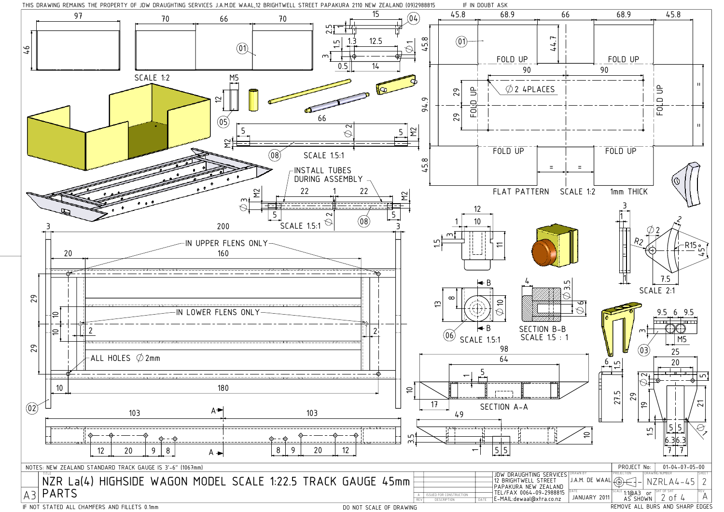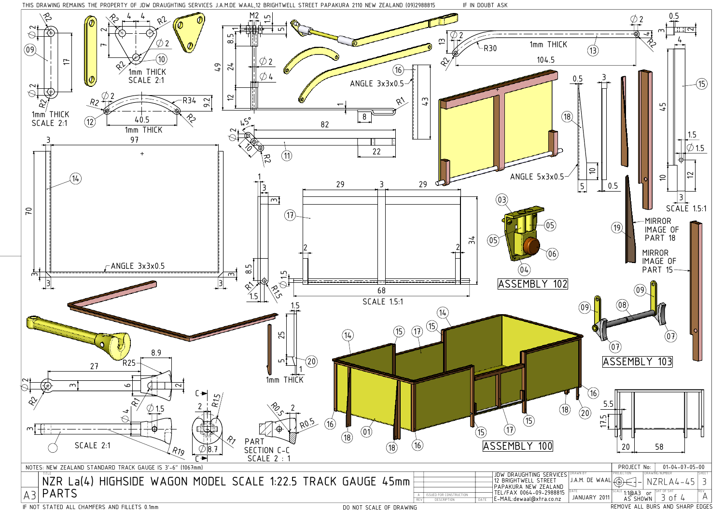

IF IN DOUBT ASK